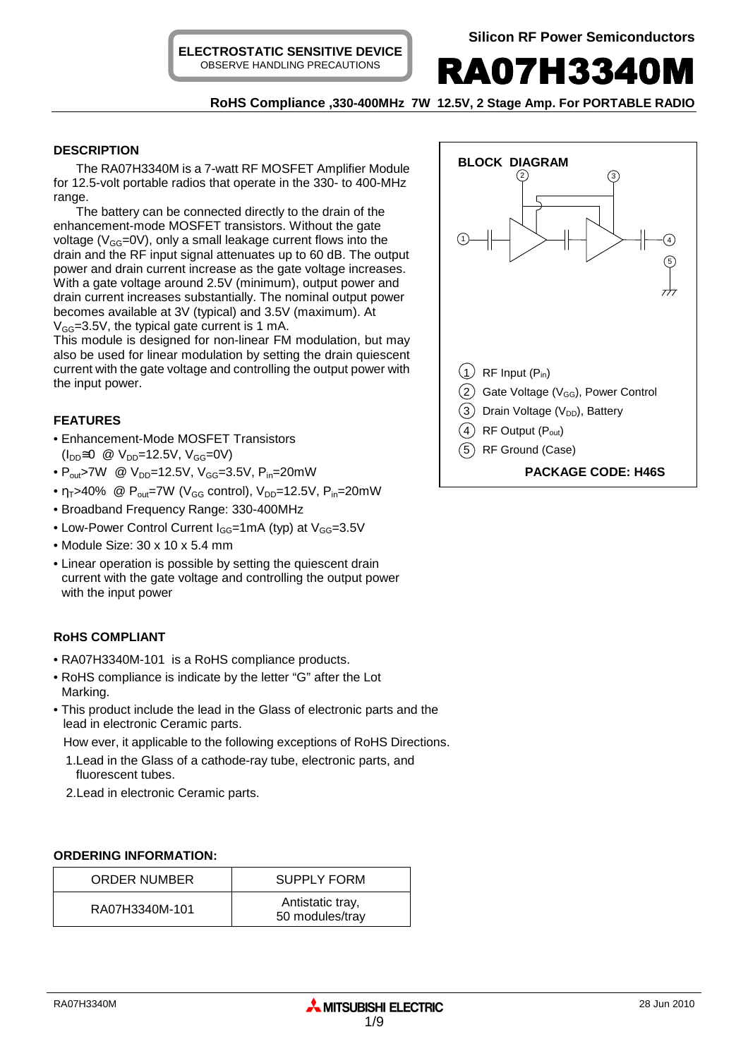**ELECTROSTATIC SENSITIVE DEVICE** OBSERVE HANDLING PRECAUTIONS



**RoHS Compliance ,330-400MHz 7W 12.5V, 2 Stage Amp. For PORTABLE RADIO** 

## **DESCRIPTION**

The RA07H3340M is a 7-watt RF MOSFET Amplifier Module for 12.5-volt portable radios that operate in the 330- to 400-MHz range.

The battery can be connected directly to the drain of the enhancement-mode MOSFET transistors. Without the gate voltage ( $V_{GG}$ =0V), only a small leakage current flows into the drain and the RF input signal attenuates up to 60 dB. The output power and drain current increase as the gate voltage increases. With a gate voltage around 2.5V (minimum), output power and drain current increases substantially. The nominal output power becomes available at 3V (typical) and 3.5V (maximum). At  $V_{GG}$ =3.5V, the typical gate current is 1 mA.

This module is designed for non-linear FM modulation, but may also be used for linear modulation by setting the drain quiescent current with the gate voltage and controlling the output power with the input power.

## **FEATURES**

- Enhancement-Mode MOSFET Transistors  $(I_{DD} \cong 0 \text{ } \textcircled{1}$  V<sub>DD</sub>=12.5V, V<sub>GG</sub>=0V)
- $P_{\text{out}}$ >7W @  $V_{\text{DD}}$ =12.5V,  $V_{\text{GG}}$ =3.5V,  $P_{\text{in}}$ =20mW
- $\eta_T$ >40% @ P<sub>out</sub>=7W (V<sub>GG</sub> control), V<sub>DD</sub>=12.5V, P<sub>in</sub>=20mW
- Broadband Frequency Range: 330-400MHz
- Low-Power Control Current  $I_{GG}$ =1mA (typ) at  $V_{GG}$ =3.5V
- Module Size: 30 x 10 x 5.4 mm
- Linear operation is possible by setting the quiescent drain current with the gate voltage and controlling the output power with the input power

## **RoHS COMPLIANT**

- RA07H3340M-101 is a RoHS compliance products.
- RoHS compliance is indicate by the letter "G" after the Lot Marking.
- This product include the lead in the Glass of electronic parts and the lead in electronic Ceramic parts.

How ever, it applicable to the following exceptions of RoHS Directions.

- 1.Lead in the Glass of a cathode-ray tube, electronic parts, and fluorescent tubes.
- 2.Lead in electronic Ceramic parts.

## **ORDERING INFORMATION:**

| ORDER NUMBER   | <b>SUPPLY FORM</b>                  |  |
|----------------|-------------------------------------|--|
| RA07H3340M-101 | Antistatic tray,<br>50 modules/tray |  |

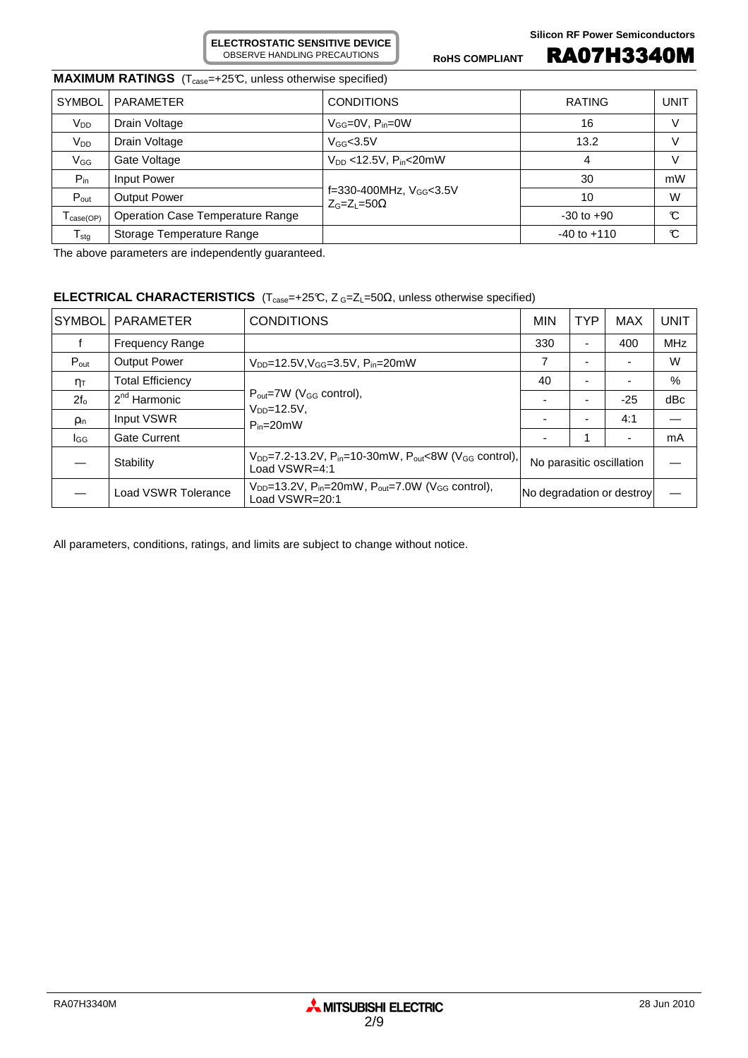**ELECTROSTATIC SENSITIVE DEVICE** OBSERVE HANDLING PRECAUTIONS

ROHS COMPLIANT **RA07H3340M** 

# **MAXIMUM RATINGS** (T<sub>case</sub>=+25°C, unless otherwise specified)

| <b>SYMBOL</b><br><b>PARAMETER</b> |                                  | <b>CONDITIONS</b>                                      | <b>RATING</b>   | UNIT |
|-----------------------------------|----------------------------------|--------------------------------------------------------|-----------------|------|
| V <sub>DD</sub><br>Drain Voltage  |                                  | $V_{GG}=$ 0V, $P_{in}=$ 0W                             | 16              | V    |
| V <sub>DD</sub><br>Drain Voltage  |                                  | $V_{GG}$ <3.5V                                         | 13.2            | V    |
| $V_{GG}$<br>Gate Voltage          |                                  | $V_{DD}$ <12.5V, $P_{in}$ < 20mW                       | 4               | V    |
| $P_{in}$                          | Input Power                      |                                                        | 30              | mW   |
| $P_{\text{out}}$                  | <b>Output Power</b>              | f=330-400MHz, $V_{GG}$ <3.5V<br>$Z_{G}=Z_{I}=50\Omega$ | 10              | W    |
| case(OP)                          | Operation Case Temperature Range |                                                        | $-30$ to $+90$  | C    |
| $T_{\text{stg}}$                  | Storage Temperature Range        |                                                        | $-40$ to $+110$ | C    |

The above parameters are independently guaranteed.

## **ELECTRICAL CHARACTERISTICS** (T<sub>case</sub>=+25℃, Z G=Z<sub>L</sub>=50Ω, unless otherwise specified)

| <b>SYMBOL</b>    | <b>PARAMETER</b>        | <b>CONDITIONS</b>                                                                                                 | <b>MIN</b>                | <b>TYP</b> | <b>MAX</b> | <b>UNIT</b> |
|------------------|-------------------------|-------------------------------------------------------------------------------------------------------------------|---------------------------|------------|------------|-------------|
|                  | <b>Frequency Range</b>  |                                                                                                                   |                           | -          | 400        | <b>MHz</b>  |
| $P_{\text{out}}$ | <b>Output Power</b>     | $V_{DD} = 12.5V, V_{GG} = 3.5V, P_{in} = 20mW$                                                                    |                           |            |            | W           |
| $n_{\text{T}}$   | <b>Total Efficiency</b> | $P_{\text{out}} = 7W$ (V <sub>GG</sub> control),                                                                  | 40                        |            |            | %           |
| $2f_0$           | $2nd$ Harmonic          |                                                                                                                   |                           |            | $-25$      | dBc         |
| <b>Pin</b>       | Input VSWR              | $VDD=12.5V$ ,<br>$P_{in}=20mW$                                                                                    |                           | -          | 4:1        |             |
| lgg              | <b>Gate Current</b>     |                                                                                                                   |                           |            |            | mA          |
|                  | Stability               | $V_{DD}$ =7.2-13.2V, P <sub>in</sub> =10-30mW, P <sub>out</sub> <8W (V <sub>GG</sub> control),<br>Load $VSWR=4:1$ | No parasitic oscillation  |            |            |             |
|                  | Load VSWR Tolerance     | $V_{DD}$ =13.2V, P <sub>in</sub> =20mW, P <sub>out</sub> =7.0W (V <sub>GG</sub> control),<br>Load VSWR=20:1       | No degradation or destroy |            |            |             |

All parameters, conditions, ratings, and limits are subject to change without notice.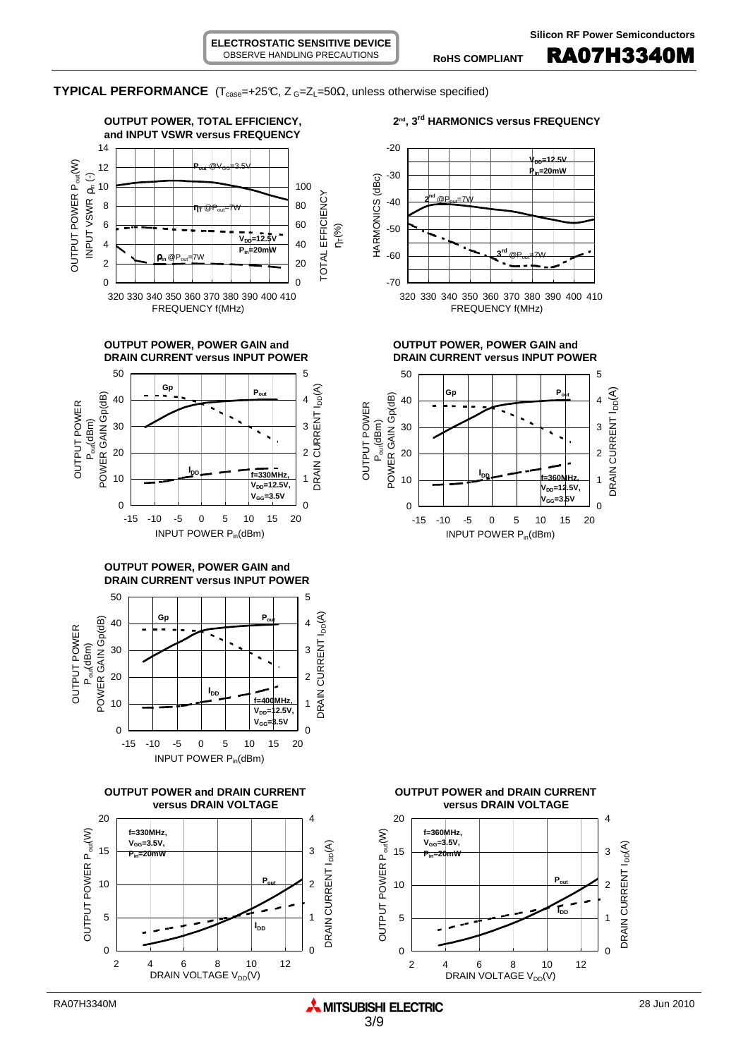**TYPICAL PERFORMANCE** (T<sub>case</sub>=+25℃, Z<sub>G</sub>=Z<sub>L</sub>=50Ω, unless otherwise specified)

**ELECTROSTATIC SENSITIVE DEVICE** OBSERVE HANDLING PRECAUTIONS









**OUTPUT POWER, POWER GAIN and DRAIN CURRENT versus INPUT POWER**







**versus DRAIN VOLTAGE versus DRAIN VOLTAGE**



**OUTPUT POWER, POWER GAIN and OUTPUT POWER, POWER GAIN and DRAIN CURRENT versus INPUT POWER DRAIN CURRENT versus INPUT POWER**



15

20

**f=360MHz, VGG=3.5V, Pin=20mW**

 $\overline{0}$ 

1

2

DRAIN CURRENT I<sub>DD</sub>(A)

DRAIN CURRENT I<sub>DD</sub>(A)

3

4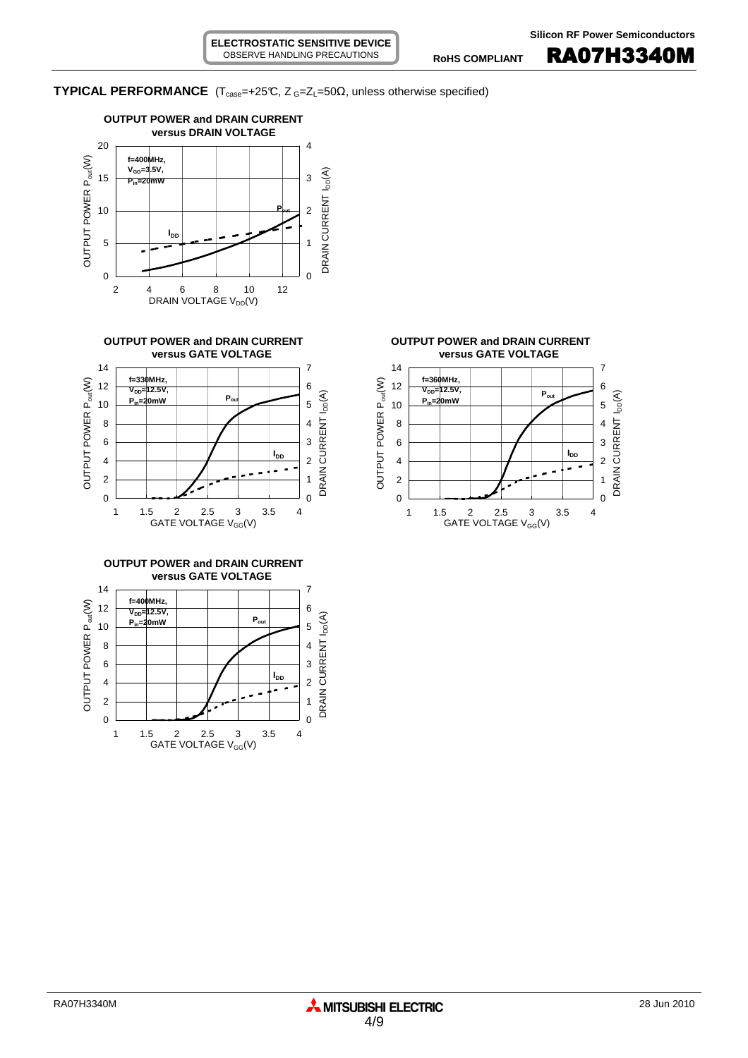## **TYPICAL PERFORMANCE** ( $T_{case} = +25^\circ$ C,  $Z_{G} = Z_{L} = 50\Omega$ , unless otherwise specified)











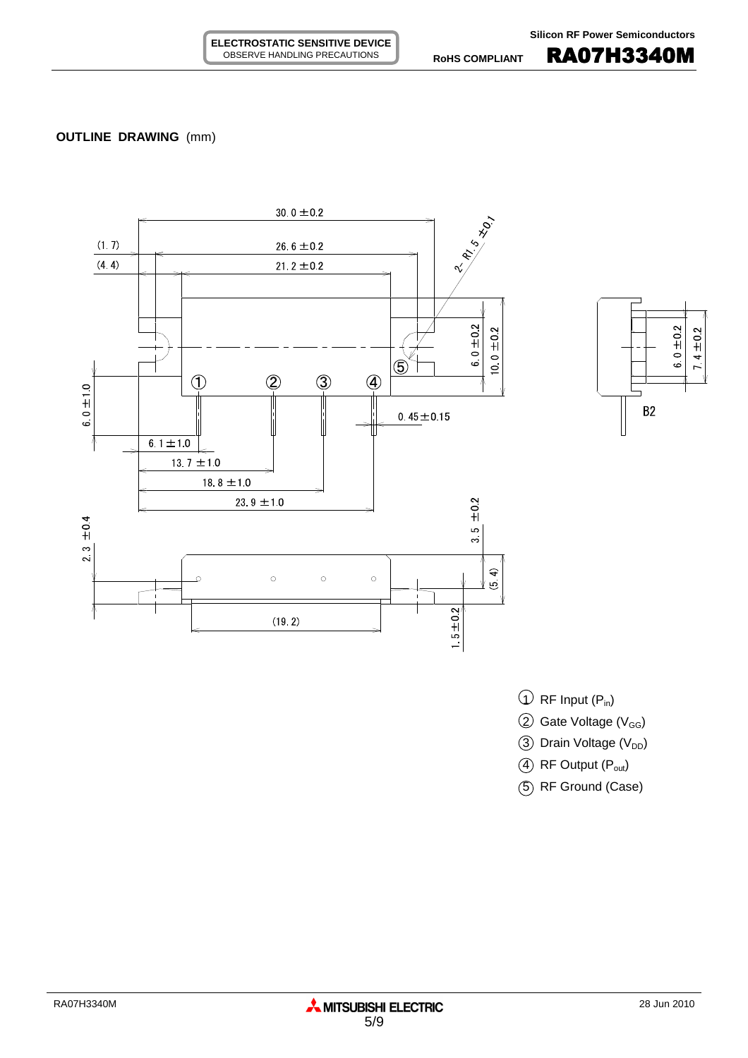## **OUTLINE DRAWING** (mm)





- $\overline{1}$  RF Input (P<sub>in</sub>)
- $(2)$  Gate Voltage (V<sub>GG</sub>)
- 3 Drain Voltage (V<sub>DD</sub>)
- $(4)$  RF Output  $(P_{out})$
- 5 RF Ground (Case)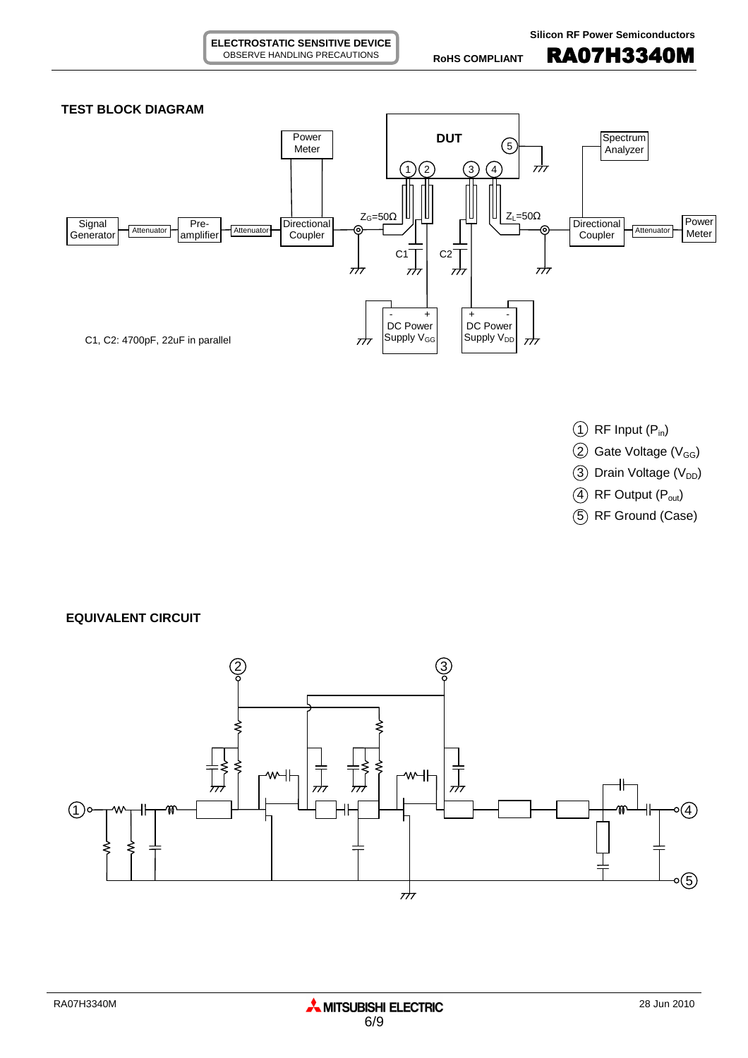

**ELECTROSTATIC SENSITIVE DEVICE** OBSERVE HANDLING PRECAUTIONS

- $(1)$  RF Input  $(P_{in})$
- $(2)$  Gate Voltage (V<sub>GG</sub>)
- $(3)$  Drain Voltage (V<sub>DD</sub>)
- $(4)$  RF Output  $(P_{out})$
- 5 RF Ground (Case)

**EQUIVALENT CIRCUIT**

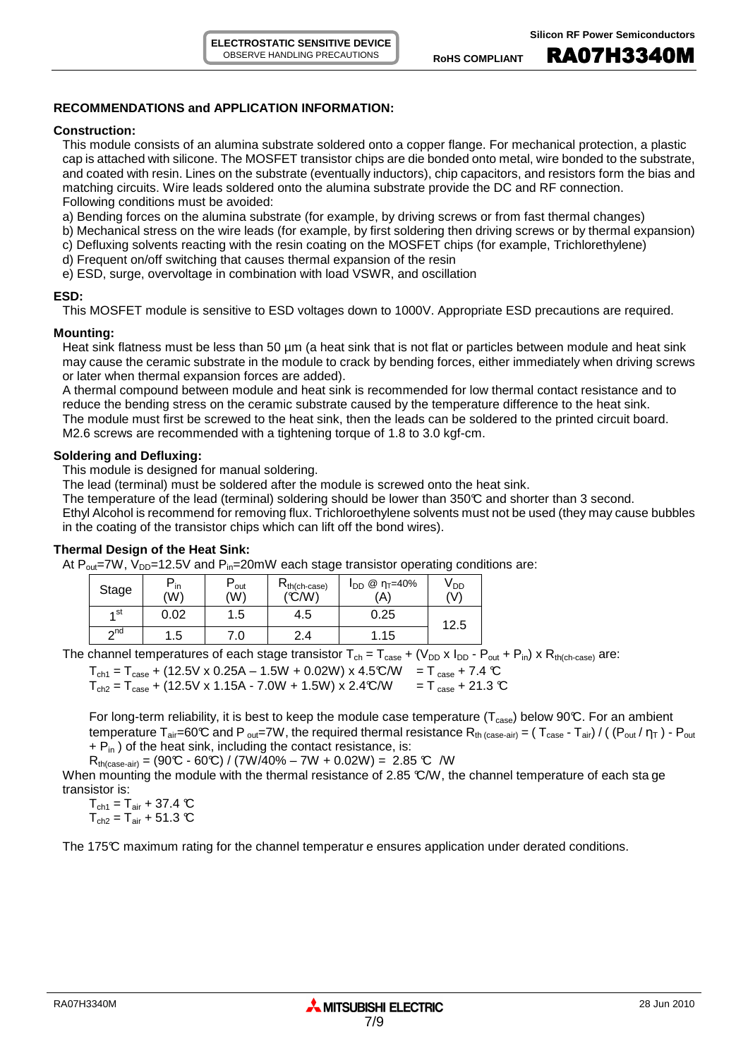## **RECOMMENDATIONS and APPLICATION INFORMATION:**

#### **Construction:**

This module consists of an alumina substrate soldered onto a copper flange. For mechanical protection, a plastic cap is attached with silicone. The MOSFET transistor chips are die bonded onto metal, wire bonded to the substrate, and coated with resin. Lines on the substrate (eventually inductors), chip capacitors, and resistors form the bias and matching circuits. Wire leads soldered onto the alumina substrate provide the DC and RF connection. Following conditions must be avoided:

a) Bending forces on the alumina substrate (for example, by driving screws or from fast thermal changes)

- b) Mechanical stress on the wire leads (for example, by first soldering then driving screws or by thermal expansion)
- c) Defluxing solvents reacting with the resin coating on the MOSFET chips (for example, Trichlorethylene)
- d) Frequent on/off switching that causes thermal expansion of the resin
- e) ESD, surge, overvoltage in combination with load VSWR, and oscillation

#### **ESD:**

This MOSFET module is sensitive to ESD voltages down to 1000V. Appropriate ESD precautions are required.

#### **Mounting:**

Heat sink flatness must be less than 50  $\mu$ m (a heat sink that is not flat or particles between module and heat sink may cause the ceramic substrate in the module to crack by bending forces, either immediately when driving screws or later when thermal expansion forces are added).

A thermal compound between module and heat sink is recommended for low thermal contact resistance and to reduce the bending stress on the ceramic substrate caused by the temperature difference to the heat sink. The module must first be screwed to the heat sink, then the leads can be soldered to the printed circuit board. M2.6 screws are recommended with a tightening torque of 1.8 to 3.0 kgf-cm.

## **Soldering and Defluxing:**

This module is designed for manual soldering.

The lead (terminal) must be soldered after the module is screwed onto the heat sink.

The temperature of the lead (terminal) soldering should be lower than 350°C and shorter than 3 second.

Ethyl Alcohol is recommend for removing flux. Trichloroethylene solvents must not be used (they may cause bubbles in the coating of the transistor chips which can lift off the bond wires).

## **Thermal Design of the Heat Sink:**

At  $P_{out}$ =7W,  $V_{DD}$ =12.5V and  $P_{in}$ =20mW each stage transistor operating conditions are:

| Stage     | $P_{\text{in}}$<br>(W) | out<br>(W) | $R_{th(ch-case)}$<br>('C/W' | @ η <sub>Τ</sub> =40%<br><b>I</b> <sub>DD</sub><br>(A) | V <sub>DD</sub><br>(V) |
|-----------|------------------------|------------|-----------------------------|--------------------------------------------------------|------------------------|
| ⊿ st      | 0.02                   | .5         | 4.5                         | 0.25                                                   | 12.5                   |
| $\sim$ nd | .5                     | .0         | 2.4                         | i.15                                                   |                        |

The channel temperatures of each stage transistor  $T_{ch} = T_{case} + (V_{DD} \times I_{DD} - P_{out} + P_{in}) \times R_{th(ch-case)}$  are:

 $T_{\text{ch1}} = T_{\text{case}} + (12.5 \text{V} \times 0.25 \text{A} - 1.5 \text{W} + 0.02 \text{W}) \times 4.5 \text{C/W} = T_{\text{case}} + 7.4 \text{ C}$  $T_{\text{ch2}} = T_{\text{case}} + (12.5 \text{V} \times 1.15 \text{A} - 7.0 \text{W} + 1.5 \text{W}) \times 2.4 \text{C/W} = T_{\text{case}} + 21.3 \text{ C}$ 

For long-term reliability, it is best to keep the module case temperature ( $T_{case}$ ) below 90°C. For an ambient temperature  $T_{air}=60^{\circ}C$  and P <sub>out</sub>=7W, the required thermal resistance  $R_{th \ (case-air)} = (T_{case} - T_{air}) / ((P_{out}/\eta_T) - P_{out}$  $+ P_{in}$ ) of the heat sink, including the contact resistance, is:

 $R_{th (case-air)} = (90\text{°C} - 60\text{°C}) / (7W/40\% - 7W + 0.02W) = 2.85 \text{°C} /W$ 

When mounting the module with the thermal resistance of 2.85 °C/W, the channel temperature of each sta ge transistor is:

 $T_{\text{ch1}} = T_{\text{air}} + 37.4 \text{ °C}$  $T_{ch2} = T_{air} + 51.3$  °C

The 175°C maximum rating for the channel temperatur e ensures application under derated conditions.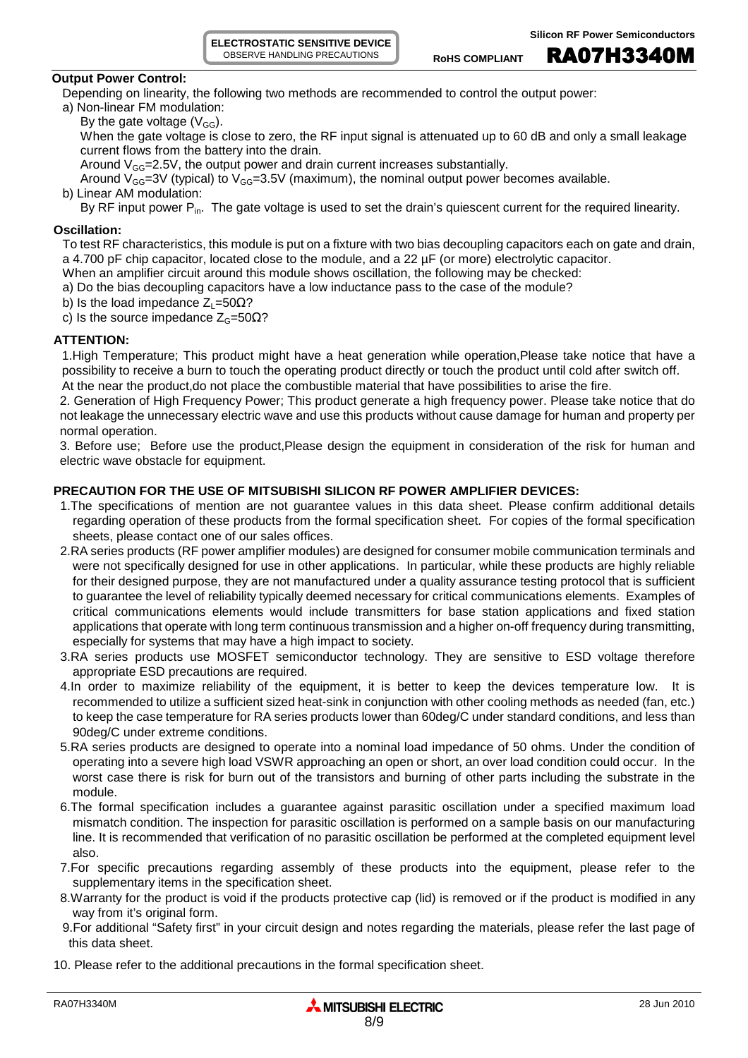**ELECTROSTATIC SENSITIVE DEVICE** OBSERVE HANDLING PRECAUTIONS

ROHS COMPLIANT **RA07H3340M** 

#### **Output Power Control:**

Depending on linearity, the following two methods are recommended to control the output power:

- a) Non-linear FM modulation:
	- By the gate voltage  $(V_{GG})$ .

When the gate voltage is close to zero, the RF input signal is attenuated up to 60 dB and only a small leakage current flows from the battery into the drain.

Around  $V_{GG}$ =2.5V, the output power and drain current increases substantially.

Around  $V_{GG}=3V$  (typical) to  $V_{GG}=3.5V$  (maximum), the nominal output power becomes available.

b) Linear AM modulation:

By RF input power P<sub>in</sub>. The gate voltage is used to set the drain's quiescent current for the required linearity.

#### **Oscillation:**

To test RF characteristics, this module is put on a fixture with two bias decoupling capacitors each on gate and drain, a 4.700 pF chip capacitor, located close to the module, and a 22 µF (or more) electrolytic capacitor.

- When an amplifier circuit around this module shows oscillation, the following may be checked:
- a) Do the bias decoupling capacitors have a low inductance pass to the case of the module?
- b) Is the load impedance  $Z_1$ =50 $\Omega$ ?
- c) Is the source impedance  $Z<sub>G</sub>=50 $\Omega$ ?$

#### **ATTENTION:**

1.High Temperature; This product might have a heat generation while operation,Please take notice that have a possibility to receive a burn to touch the operating product directly or touch the product until cold after switch off. At the near the product,do not place the combustible material that have possibilities to arise the fire.

2. Generation of High Frequency Power; This product generate a high frequency power. Please take notice that do not leakage the unnecessary electric wave and use this products without cause damage for human and property per normal operation.

3. Before use; Before use the product,Please design the equipment in consideration of the risk for human and electric wave obstacle for equipment.

## **PRECAUTION FOR THE USE OF MITSUBISHI SILICON RF POWER AMPLIFIER DEVICES:**

- 1.The specifications of mention are not guarantee values in this data sheet. Please confirm additional details regarding operation of these products from the formal specification sheet. For copies of the formal specification sheets, please contact one of our sales offices.
- 2.RA series products (RF power amplifier modules) are designed for consumer mobile communication terminals and were not specifically designed for use in other applications. In particular, while these products are highly reliable for their designed purpose, they are not manufactured under a quality assurance testing protocol that is sufficient to guarantee the level of reliability typically deemed necessary for critical communications elements. Examples of critical communications elements would include transmitters for base station applications and fixed station applications that operate with long term continuous transmission and a higher on-off frequency during transmitting, especially for systems that may have a high impact to society.
- 3.RA series products use MOSFET semiconductor technology. They are sensitive to ESD voltage therefore appropriate ESD precautions are required.
- 4.In order to maximize reliability of the equipment, it is better to keep the devices temperature low. It is recommended to utilize a sufficient sized heat-sink in conjunction with other cooling methods as needed (fan, etc.) to keep the case temperature for RA series products lower than 60deg/C under standard conditions, and less than 90deg/C under extreme conditions.
- 5.RA series products are designed to operate into a nominal load impedance of 50 ohms. Under the condition of operating into a severe high load VSWR approaching an open or short, an over load condition could occur. In the worst case there is risk for burn out of the transistors and burning of other parts including the substrate in the module.
- 6.The formal specification includes a guarantee against parasitic oscillation under a specified maximum load mismatch condition. The inspection for parasitic oscillation is performed on a sample basis on our manufacturing line. It is recommended that verification of no parasitic oscillation be performed at the completed equipment level also.
- 7.For specific precautions regarding assembly of these products into the equipment, please refer to the supplementary items in the specification sheet.
- 8.Warranty for the product is void if the products protective cap (lid) is removed or if the product is modified in any way from it's original form.
- 9.For additional "Safety first" in your circuit design and notes regarding the materials, please refer the last page of this data sheet.
- 10. Please refer to the additional precautions in the formal specification sheet.